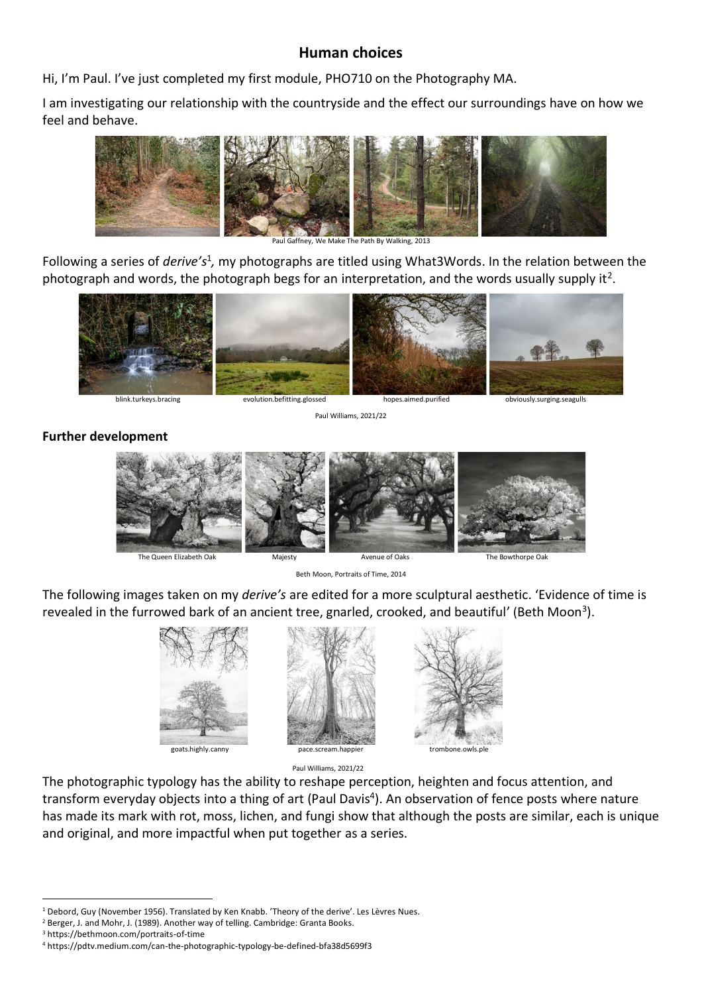## **Human choices**

Hi, I'm Paul. I've just completed my first module, PHO710 on the Photography MA.

I am investigating our relationship with the countryside and the effect our surroundings have on how we feel and behave.



We Make The Path By Walking, 2013

Following a series of *derive's<sup>1</sup>*, my photographs are titled using What3Words. In the relation between the photograph and words, the photograph begs for an interpretation, and the words usually supply it<sup>2</sup>.



blink.turkeys.bracing evolution.befitting.glossed hopes.aimed.purified obviously.surging.seagulls

Paul Williams, 2021/22

**Further development**



Beth Moon, Portraits of Time, 2014

The following images taken on my *derive's* are edited for a more sculptural aesthetic. 'Evidence of time is revealed in the furrowed bark of an ancient tree, gnarled, crooked, and beautiful' (Beth Moon<sup>3</sup>).





Paul Williams, 2021/22

The photographic typology has the ability to reshape perception, heighten and focus attention, and transform everyday objects into a thing of art (Paul Davis<sup>4</sup>). An observation of fence posts where nature has made its mark with rot, moss, lichen, and fungi show that although the posts are similar, each is unique and original, and more impactful when put together as a series.

<sup>&</sup>lt;sup>1</sup> Debord, Guy (November 1956). Translated by Ken Knabb. 'Theory of the derive'. Les Lèvres Nues.

<sup>&</sup>lt;sup>2</sup> Berger, J. and Mohr, J. (1989). Another way of telling. Cambridge: Granta Books.

<sup>3</sup> https://bethmoon.com/portraits-of-time

<sup>4</sup> https://pdtv.medium.com/can-the-photographic-typology-be-defined-bfa38d5699f3